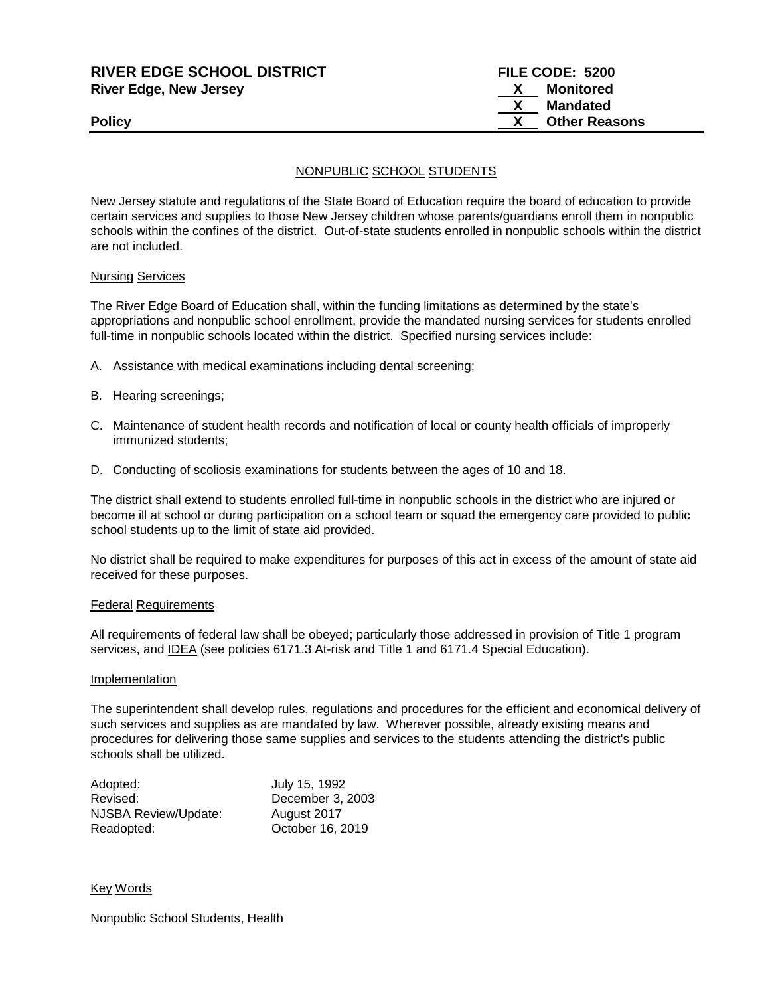| <b>RIVER EDGE SCHOOL DISTRICT</b> | FILE CODE: 5200      |
|-----------------------------------|----------------------|
| <b>River Edge, New Jersey</b>     | Monitored            |
|                                   | Mandated             |
| <b>Policy</b>                     | <b>Other Reasons</b> |
|                                   |                      |

## NONPUBLIC SCHOOL STUDENTS

New Jersey statute and regulations of the State Board of Education require the board of education to provide certain services and supplies to those New Jersey children whose parents/guardians enroll them in nonpublic schools within the confines of the district. Out-of-state students enrolled in nonpublic schools within the district are not included.

#### Nursing Services

The River Edge Board of Education shall, within the funding limitations as determined by the state's appropriations and nonpublic school enrollment, provide the mandated nursing services for students enrolled full-time in nonpublic schools located within the district. Specified nursing services include:

- A. Assistance with medical examinations including dental screening;
- B. Hearing screenings;
- C. Maintenance of student health records and notification of local or county health officials of improperly immunized students;
- D. Conducting of scoliosis examinations for students between the ages of 10 and 18.

The district shall extend to students enrolled full-time in nonpublic schools in the district who are injured or become ill at school or during participation on a school team or squad the emergency care provided to public school students up to the limit of state aid provided.

No district shall be required to make expenditures for purposes of this act in excess of the amount of state aid received for these purposes.

### Federal Requirements

All requirements of federal law shall be obeyed; particularly those addressed in provision of Title 1 program services, and IDEA (see policies 6171.3 At-risk and Title 1 and 6171.4 Special Education).

#### Implementation

The superintendent shall develop rules, regulations and procedures for the efficient and economical delivery of such services and supplies as are mandated by law. Wherever possible, already existing means and procedures for delivering those same supplies and services to the students attending the district's public schools shall be utilized.

| Adopted:             | July 15, 1992    |
|----------------------|------------------|
| Revised:             | December 3, 2003 |
| NJSBA Review/Update: | August 2017      |
| Readopted:           | October 16, 2019 |

Key Words

Nonpublic School Students, Health